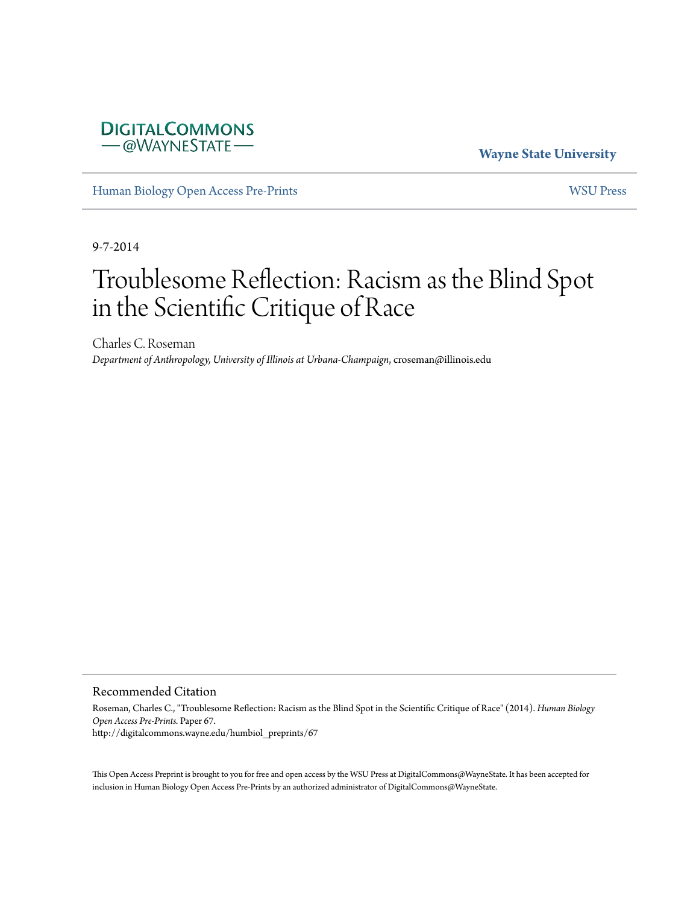## **DIGITALCOMMONS** - @WAYNESTATE

**Wayne State University**

[Human Biology Open Access Pre-Prints](http://digitalcommons.wayne.edu/humbiol_preprints) [WSU Press](http://digitalcommons.wayne.edu/wsupress)

9-7-2014

# Troublesome Reflection: Racism as the Blind Spot in the Scientific Critique of Race

Charles C. Roseman *Department of Anthropology, University of Illinois at Urbana-Champaign*, croseman@illinois.edu

Recommended Citation

Roseman, Charles C., "Troublesome Reflection: Racism as the Blind Spot in the Scientific Critique of Race" (2014). *Human Biology Open Access Pre-Prints.* Paper 67. http://digitalcommons.wayne.edu/humbiol\_preprints/67

This Open Access Preprint is brought to you for free and open access by the WSU Press at DigitalCommons@WayneState. It has been accepted for inclusion in Human Biology Open Access Pre-Prints by an authorized administrator of DigitalCommons@WayneState.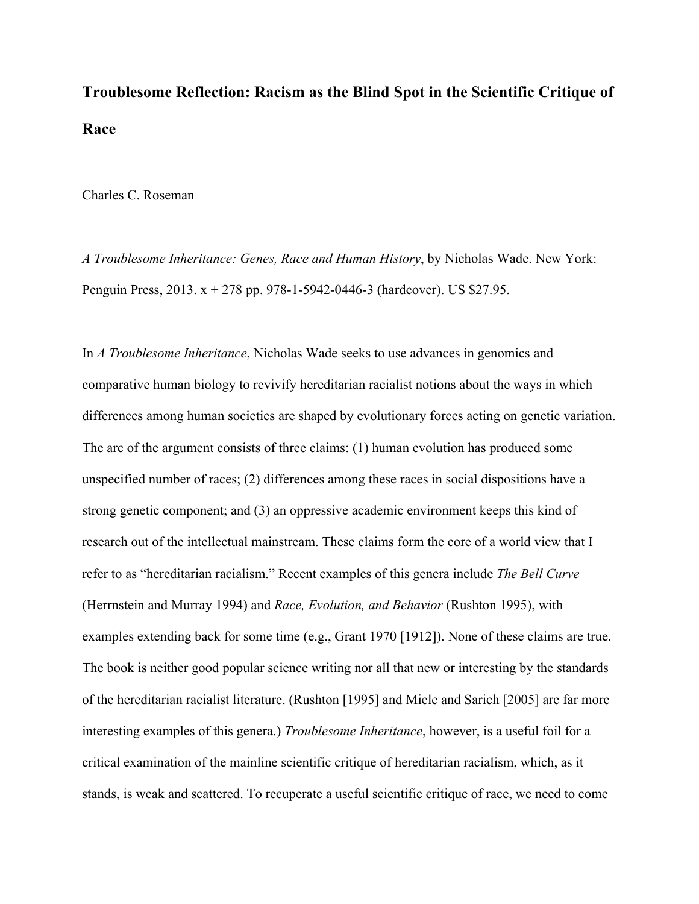# **Troublesome Reflection: Racism as the Blind Spot in the Scientific Critique of Race**

Charles C. Roseman

*A Troublesome Inheritance: Genes, Race and Human History*, by Nicholas Wade. New York: Penguin Press, 2013. x + 278 pp. 978-1-5942-0446-3 (hardcover). US \$27.95.

In *A Troublesome Inheritance*, Nicholas Wade seeks to use advances in genomics and comparative human biology to revivify hereditarian racialist notions about the ways in which differences among human societies are shaped by evolutionary forces acting on genetic variation. The arc of the argument consists of three claims: (1) human evolution has produced some unspecified number of races; (2) differences among these races in social dispositions have a strong genetic component; and (3) an oppressive academic environment keeps this kind of research out of the intellectual mainstream. These claims form the core of a world view that I refer to as "hereditarian racialism." Recent examples of this genera include *The Bell Curve* (Herrnstein and Murray 1994) and *Race, Evolution, and Behavior* (Rushton 1995), with examples extending back for some time (e.g., Grant 1970 [1912]). None of these claims are true. The book is neither good popular science writing nor all that new or interesting by the standards of the hereditarian racialist literature. (Rushton [1995] and Miele and Sarich [2005] are far more interesting examples of this genera.) *Troublesome Inheritance*, however, is a useful foil for a critical examination of the mainline scientific critique of hereditarian racialism, which, as it stands, is weak and scattered. To recuperate a useful scientific critique of race, we need to come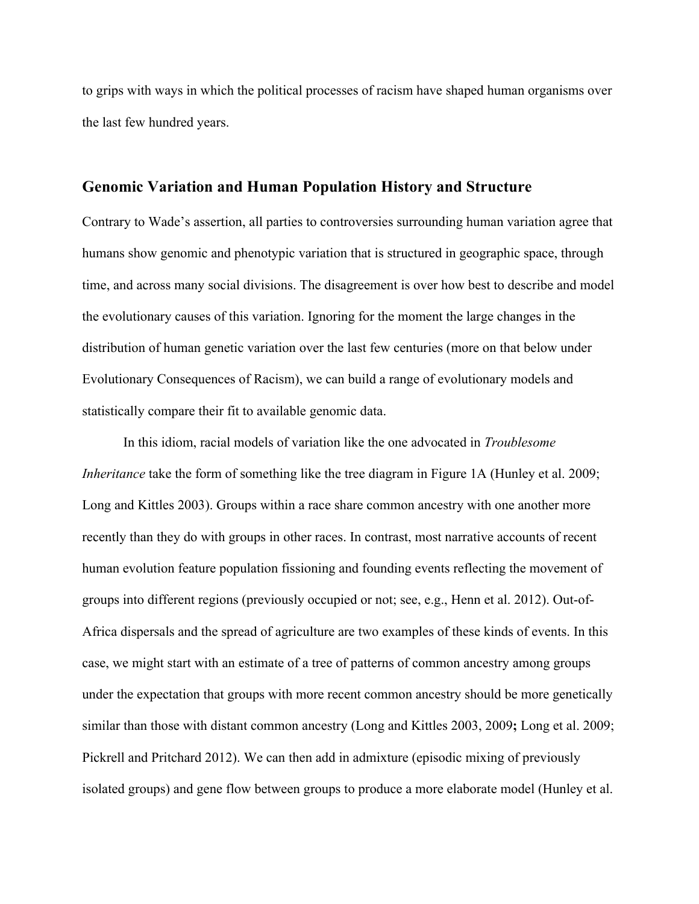to grips with ways in which the political processes of racism have shaped human organisms over the last few hundred years.

#### **Genomic Variation and Human Population History and Structure**

Contrary to Wade's assertion, all parties to controversies surrounding human variation agree that humans show genomic and phenotypic variation that is structured in geographic space, through time, and across many social divisions. The disagreement is over how best to describe and model the evolutionary causes of this variation. Ignoring for the moment the large changes in the distribution of human genetic variation over the last few centuries (more on that below under Evolutionary Consequences of Racism), we can build a range of evolutionary models and statistically compare their fit to available genomic data.

In this idiom, racial models of variation like the one advocated in *Troublesome Inheritance* take the form of something like the tree diagram in Figure 1A (Hunley et al. 2009; Long and Kittles 2003). Groups within a race share common ancestry with one another more recently than they do with groups in other races. In contrast, most narrative accounts of recent human evolution feature population fissioning and founding events reflecting the movement of groups into different regions (previously occupied or not; see, e.g., Henn et al. 2012). Out-of-Africa dispersals and the spread of agriculture are two examples of these kinds of events. In this case, we might start with an estimate of a tree of patterns of common ancestry among groups under the expectation that groups with more recent common ancestry should be more genetically similar than those with distant common ancestry (Long and Kittles 2003, 2009**;** Long et al. 2009; Pickrell and Pritchard 2012). We can then add in admixture (episodic mixing of previously isolated groups) and gene flow between groups to produce a more elaborate model (Hunley et al.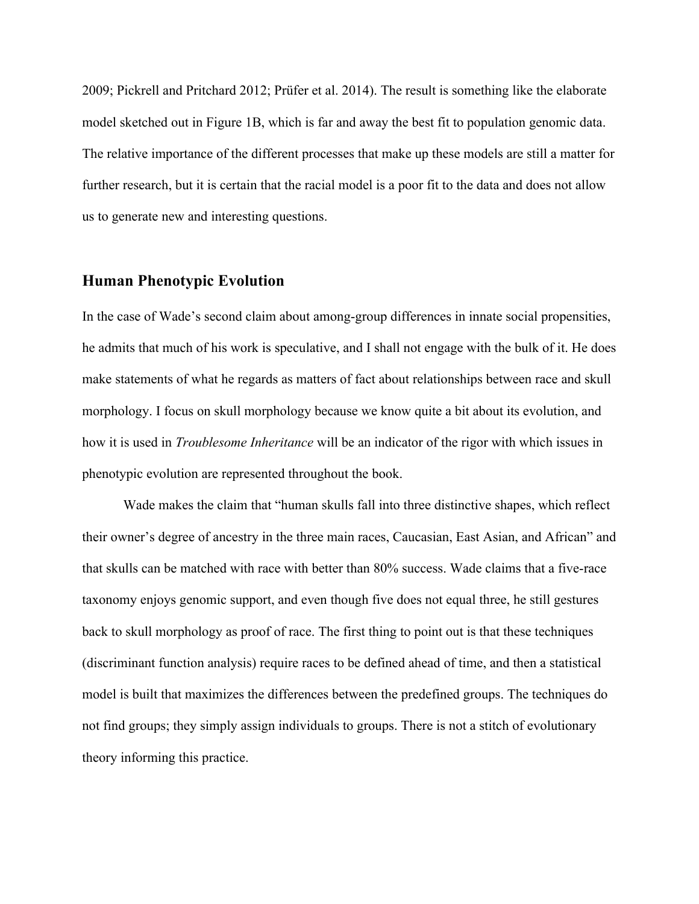2009; Pickrell and Pritchard 2012; Prüfer et al. 2014). The result is something like the elaborate model sketched out in Figure 1B, which is far and away the best fit to population genomic data. The relative importance of the different processes that make up these models are still a matter for further research, but it is certain that the racial model is a poor fit to the data and does not allow us to generate new and interesting questions.

# **Human Phenotypic Evolution**

In the case of Wade's second claim about among-group differences in innate social propensities, he admits that much of his work is speculative, and I shall not engage with the bulk of it. He does make statements of what he regards as matters of fact about relationships between race and skull morphology. I focus on skull morphology because we know quite a bit about its evolution, and how it is used in *Troublesome Inheritance* will be an indicator of the rigor with which issues in phenotypic evolution are represented throughout the book.

Wade makes the claim that "human skulls fall into three distinctive shapes, which reflect their owner's degree of ancestry in the three main races, Caucasian, East Asian, and African" and that skulls can be matched with race with better than 80% success. Wade claims that a five-race taxonomy enjoys genomic support, and even though five does not equal three, he still gestures back to skull morphology as proof of race. The first thing to point out is that these techniques (discriminant function analysis) require races to be defined ahead of time, and then a statistical model is built that maximizes the differences between the predefined groups. The techniques do not find groups; they simply assign individuals to groups. There is not a stitch of evolutionary theory informing this practice.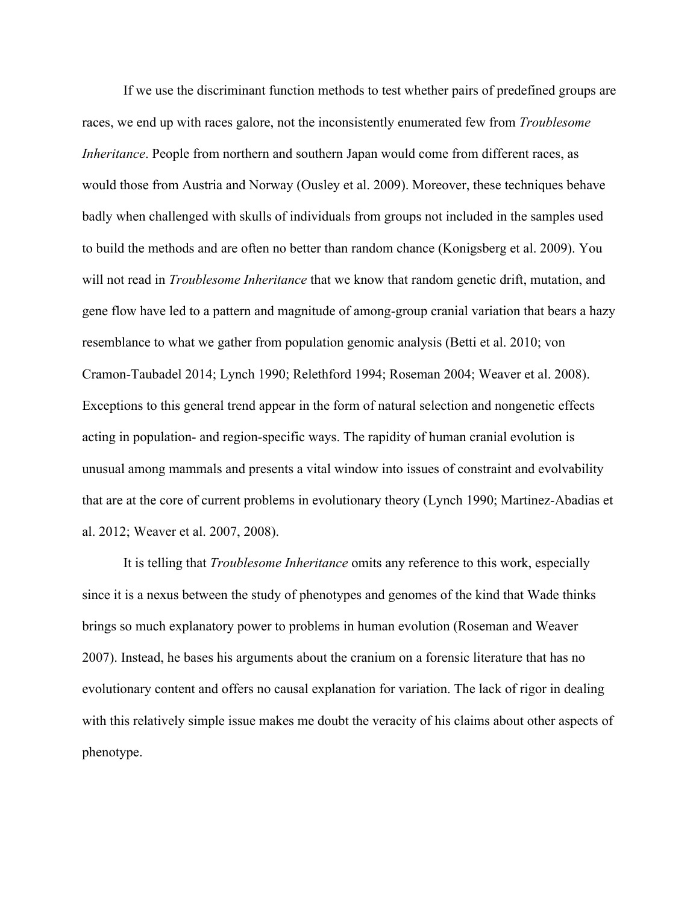If we use the discriminant function methods to test whether pairs of predefined groups are races, we end up with races galore, not the inconsistently enumerated few from *Troublesome Inheritance*. People from northern and southern Japan would come from different races, as would those from Austria and Norway (Ousley et al. 2009). Moreover, these techniques behave badly when challenged with skulls of individuals from groups not included in the samples used to build the methods and are often no better than random chance (Konigsberg et al. 2009). You will not read in *Troublesome Inheritance* that we know that random genetic drift, mutation, and gene flow have led to a pattern and magnitude of among-group cranial variation that bears a hazy resemblance to what we gather from population genomic analysis (Betti et al. 2010; von Cramon-Taubadel 2014; Lynch 1990; Relethford 1994; Roseman 2004; Weaver et al. 2008). Exceptions to this general trend appear in the form of natural selection and nongenetic effects acting in population- and region-specific ways. The rapidity of human cranial evolution is unusual among mammals and presents a vital window into issues of constraint and evolvability that are at the core of current problems in evolutionary theory (Lynch 1990; Martinez-Abadias et al. 2012; Weaver et al. 2007, 2008).

It is telling that *Troublesome Inheritance* omits any reference to this work, especially since it is a nexus between the study of phenotypes and genomes of the kind that Wade thinks brings so much explanatory power to problems in human evolution (Roseman and Weaver 2007). Instead, he bases his arguments about the cranium on a forensic literature that has no evolutionary content and offers no causal explanation for variation. The lack of rigor in dealing with this relatively simple issue makes me doubt the veracity of his claims about other aspects of phenotype.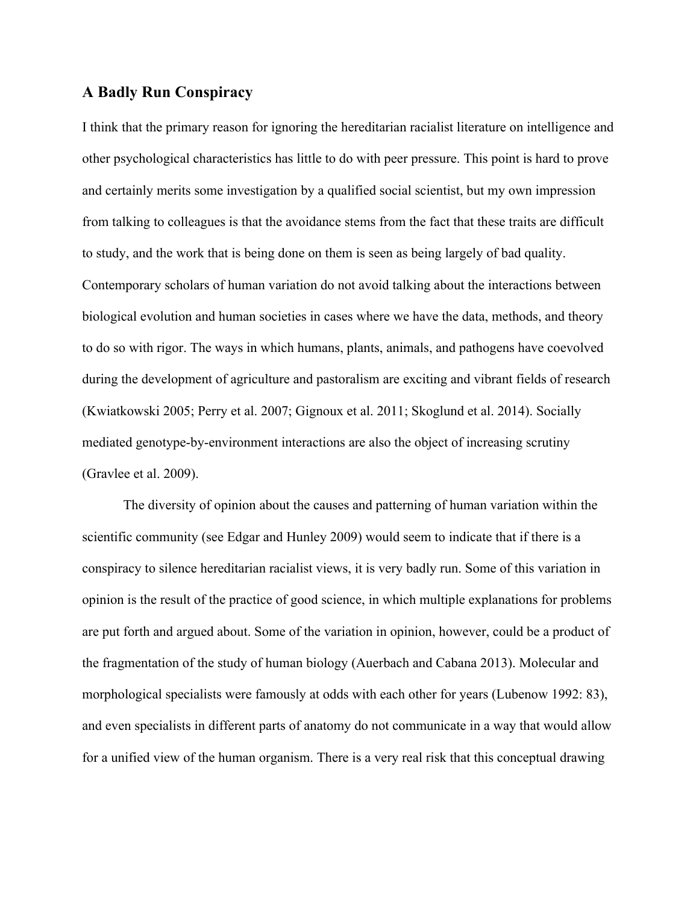#### **A Badly Run Conspiracy**

I think that the primary reason for ignoring the hereditarian racialist literature on intelligence and other psychological characteristics has little to do with peer pressure. This point is hard to prove and certainly merits some investigation by a qualified social scientist, but my own impression from talking to colleagues is that the avoidance stems from the fact that these traits are difficult to study, and the work that is being done on them is seen as being largely of bad quality. Contemporary scholars of human variation do not avoid talking about the interactions between biological evolution and human societies in cases where we have the data, methods, and theory to do so with rigor. The ways in which humans, plants, animals, and pathogens have coevolved during the development of agriculture and pastoralism are exciting and vibrant fields of research (Kwiatkowski 2005; Perry et al. 2007; Gignoux et al. 2011; Skoglund et al. 2014). Socially mediated genotype-by-environment interactions are also the object of increasing scrutiny (Gravlee et al. 2009).

The diversity of opinion about the causes and patterning of human variation within the scientific community (see Edgar and Hunley 2009) would seem to indicate that if there is a conspiracy to silence hereditarian racialist views, it is very badly run. Some of this variation in opinion is the result of the practice of good science, in which multiple explanations for problems are put forth and argued about. Some of the variation in opinion, however, could be a product of the fragmentation of the study of human biology (Auerbach and Cabana 2013). Molecular and morphological specialists were famously at odds with each other for years (Lubenow 1992: 83), and even specialists in different parts of anatomy do not communicate in a way that would allow for a unified view of the human organism. There is a very real risk that this conceptual drawing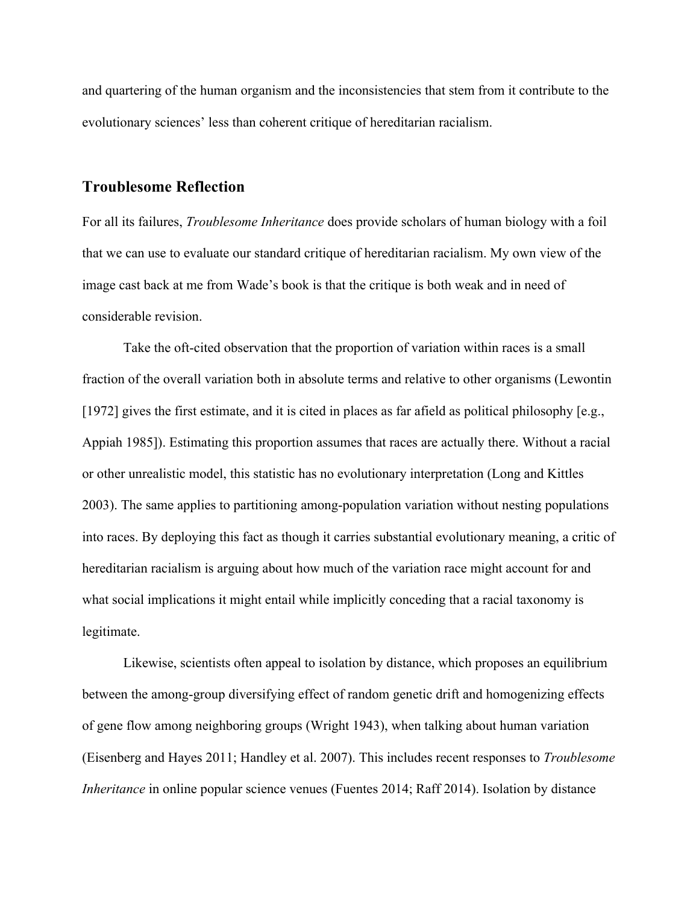and quartering of the human organism and the inconsistencies that stem from it contribute to the evolutionary sciences' less than coherent critique of hereditarian racialism.

#### **Troublesome Reflection**

For all its failures, *Troublesome Inheritance* does provide scholars of human biology with a foil that we can use to evaluate our standard critique of hereditarian racialism. My own view of the image cast back at me from Wade's book is that the critique is both weak and in need of considerable revision.

Take the oft-cited observation that the proportion of variation within races is a small fraction of the overall variation both in absolute terms and relative to other organisms (Lewontin [1972] gives the first estimate, and it is cited in places as far afield as political philosophy [e.g., Appiah 1985]). Estimating this proportion assumes that races are actually there. Without a racial or other unrealistic model, this statistic has no evolutionary interpretation (Long and Kittles 2003). The same applies to partitioning among-population variation without nesting populations into races. By deploying this fact as though it carries substantial evolutionary meaning, a critic of hereditarian racialism is arguing about how much of the variation race might account for and what social implications it might entail while implicitly conceding that a racial taxonomy is legitimate.

Likewise, scientists often appeal to isolation by distance, which proposes an equilibrium between the among-group diversifying effect of random genetic drift and homogenizing effects of gene flow among neighboring groups (Wright 1943), when talking about human variation (Eisenberg and Hayes 2011; Handley et al. 2007). This includes recent responses to *Troublesome Inheritance* in online popular science venues (Fuentes 2014; Raff 2014). Isolation by distance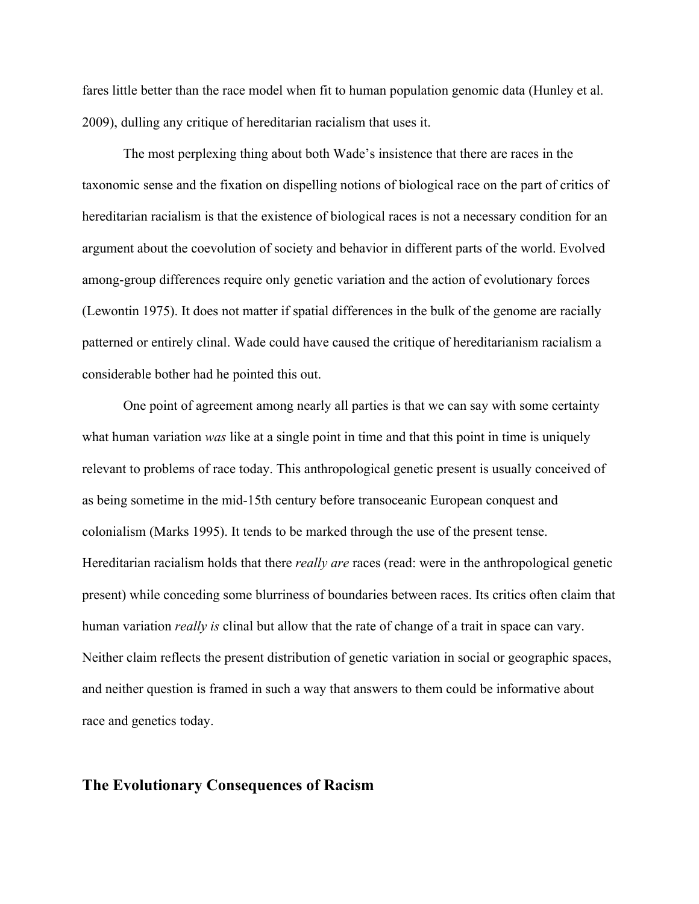fares little better than the race model when fit to human population genomic data (Hunley et al. 2009), dulling any critique of hereditarian racialism that uses it.

The most perplexing thing about both Wade's insistence that there are races in the taxonomic sense and the fixation on dispelling notions of biological race on the part of critics of hereditarian racialism is that the existence of biological races is not a necessary condition for an argument about the coevolution of society and behavior in different parts of the world. Evolved among-group differences require only genetic variation and the action of evolutionary forces (Lewontin 1975). It does not matter if spatial differences in the bulk of the genome are racially patterned or entirely clinal. Wade could have caused the critique of hereditarianism racialism a considerable bother had he pointed this out.

One point of agreement among nearly all parties is that we can say with some certainty what human variation *was* like at a single point in time and that this point in time is uniquely relevant to problems of race today. This anthropological genetic present is usually conceived of as being sometime in the mid-15th century before transoceanic European conquest and colonialism (Marks 1995). It tends to be marked through the use of the present tense. Hereditarian racialism holds that there *really are* races (read: were in the anthropological genetic present) while conceding some blurriness of boundaries between races. Its critics often claim that human variation *really is* clinal but allow that the rate of change of a trait in space can vary. Neither claim reflects the present distribution of genetic variation in social or geographic spaces, and neither question is framed in such a way that answers to them could be informative about race and genetics today.

#### **The Evolutionary Consequences of Racism**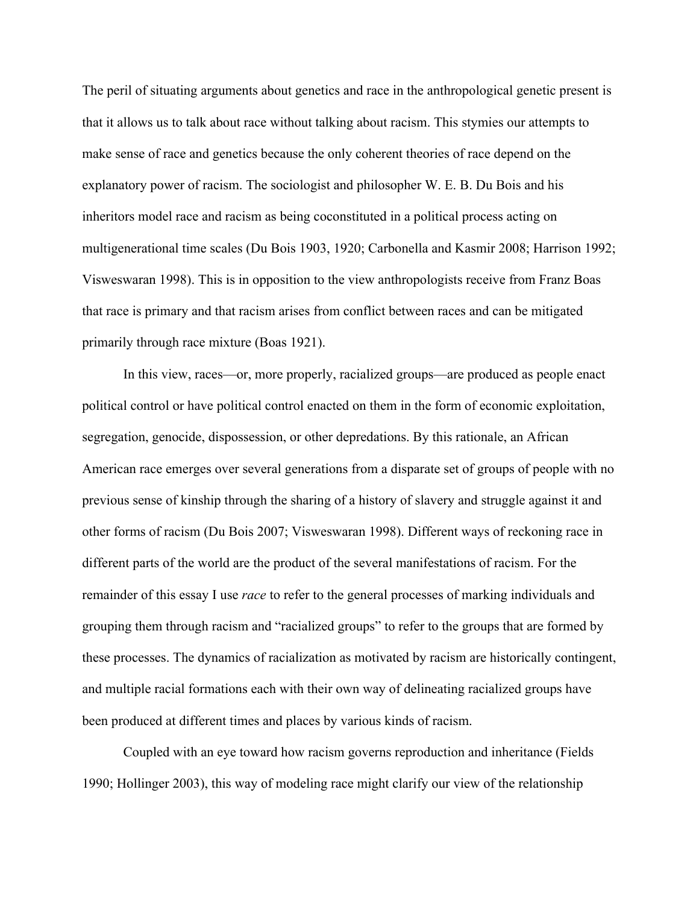The peril of situating arguments about genetics and race in the anthropological genetic present is that it allows us to talk about race without talking about racism. This stymies our attempts to make sense of race and genetics because the only coherent theories of race depend on the explanatory power of racism. The sociologist and philosopher W. E. B. Du Bois and his inheritors model race and racism as being coconstituted in a political process acting on multigenerational time scales (Du Bois 1903, 1920; Carbonella and Kasmir 2008; Harrison 1992; Visweswaran 1998). This is in opposition to the view anthropologists receive from Franz Boas that race is primary and that racism arises from conflict between races and can be mitigated primarily through race mixture (Boas 1921).

In this view, races—or, more properly, racialized groups—are produced as people enact political control or have political control enacted on them in the form of economic exploitation, segregation, genocide, dispossession, or other depredations. By this rationale, an African American race emerges over several generations from a disparate set of groups of people with no previous sense of kinship through the sharing of a history of slavery and struggle against it and other forms of racism (Du Bois 2007; Visweswaran 1998). Different ways of reckoning race in different parts of the world are the product of the several manifestations of racism. For the remainder of this essay I use *race* to refer to the general processes of marking individuals and grouping them through racism and "racialized groups" to refer to the groups that are formed by these processes. The dynamics of racialization as motivated by racism are historically contingent, and multiple racial formations each with their own way of delineating racialized groups have been produced at different times and places by various kinds of racism.

Coupled with an eye toward how racism governs reproduction and inheritance (Fields 1990; Hollinger 2003), this way of modeling race might clarify our view of the relationship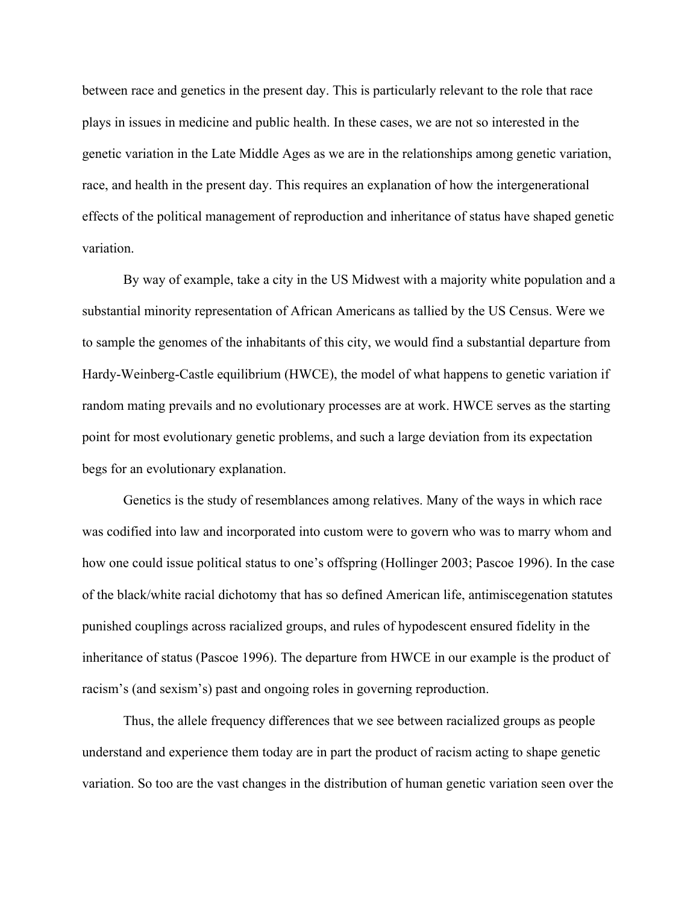between race and genetics in the present day. This is particularly relevant to the role that race plays in issues in medicine and public health. In these cases, we are not so interested in the genetic variation in the Late Middle Ages as we are in the relationships among genetic variation, race, and health in the present day. This requires an explanation of how the intergenerational effects of the political management of reproduction and inheritance of status have shaped genetic variation.

By way of example, take a city in the US Midwest with a majority white population and a substantial minority representation of African Americans as tallied by the US Census. Were we to sample the genomes of the inhabitants of this city, we would find a substantial departure from Hardy-Weinberg-Castle equilibrium (HWCE), the model of what happens to genetic variation if random mating prevails and no evolutionary processes are at work. HWCE serves as the starting point for most evolutionary genetic problems, and such a large deviation from its expectation begs for an evolutionary explanation.

Genetics is the study of resemblances among relatives. Many of the ways in which race was codified into law and incorporated into custom were to govern who was to marry whom and how one could issue political status to one's offspring (Hollinger 2003; Pascoe 1996). In the case of the black/white racial dichotomy that has so defined American life, antimiscegenation statutes punished couplings across racialized groups, and rules of hypodescent ensured fidelity in the inheritance of status (Pascoe 1996). The departure from HWCE in our example is the product of racism's (and sexism's) past and ongoing roles in governing reproduction.

Thus, the allele frequency differences that we see between racialized groups as people understand and experience them today are in part the product of racism acting to shape genetic variation. So too are the vast changes in the distribution of human genetic variation seen over the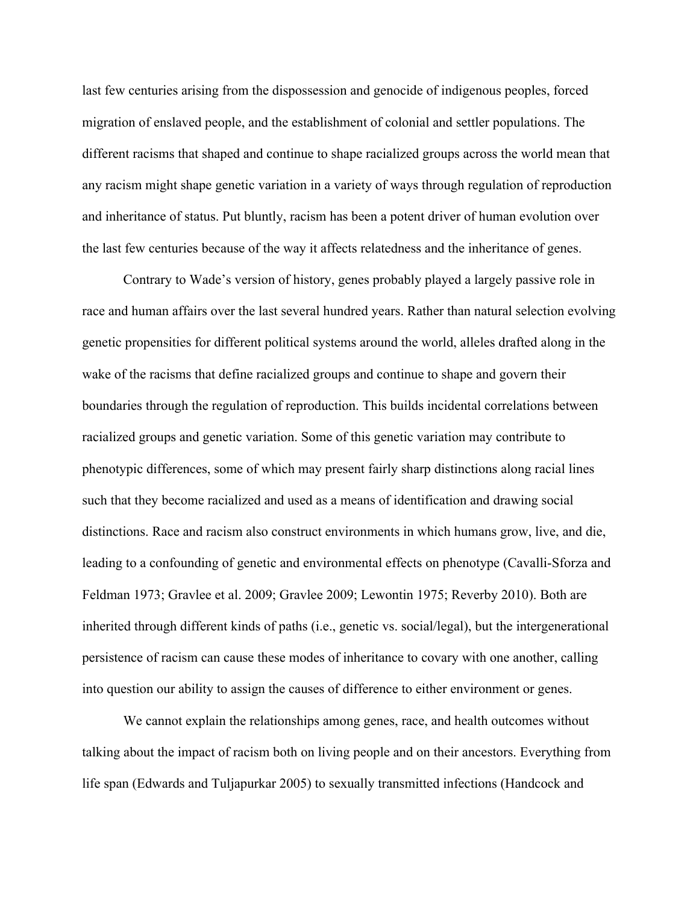last few centuries arising from the dispossession and genocide of indigenous peoples, forced migration of enslaved people, and the establishment of colonial and settler populations. The different racisms that shaped and continue to shape racialized groups across the world mean that any racism might shape genetic variation in a variety of ways through regulation of reproduction and inheritance of status. Put bluntly, racism has been a potent driver of human evolution over the last few centuries because of the way it affects relatedness and the inheritance of genes.

Contrary to Wade's version of history, genes probably played a largely passive role in race and human affairs over the last several hundred years. Rather than natural selection evolving genetic propensities for different political systems around the world, alleles drafted along in the wake of the racisms that define racialized groups and continue to shape and govern their boundaries through the regulation of reproduction. This builds incidental correlations between racialized groups and genetic variation. Some of this genetic variation may contribute to phenotypic differences, some of which may present fairly sharp distinctions along racial lines such that they become racialized and used as a means of identification and drawing social distinctions. Race and racism also construct environments in which humans grow, live, and die, leading to a confounding of genetic and environmental effects on phenotype (Cavalli-Sforza and Feldman 1973; Gravlee et al. 2009; Gravlee 2009; Lewontin 1975; Reverby 2010). Both are inherited through different kinds of paths (i.e., genetic vs. social/legal), but the intergenerational persistence of racism can cause these modes of inheritance to covary with one another, calling into question our ability to assign the causes of difference to either environment or genes.

We cannot explain the relationships among genes, race, and health outcomes without talking about the impact of racism both on living people and on their ancestors. Everything from life span (Edwards and Tuljapurkar 2005) to sexually transmitted infections (Handcock and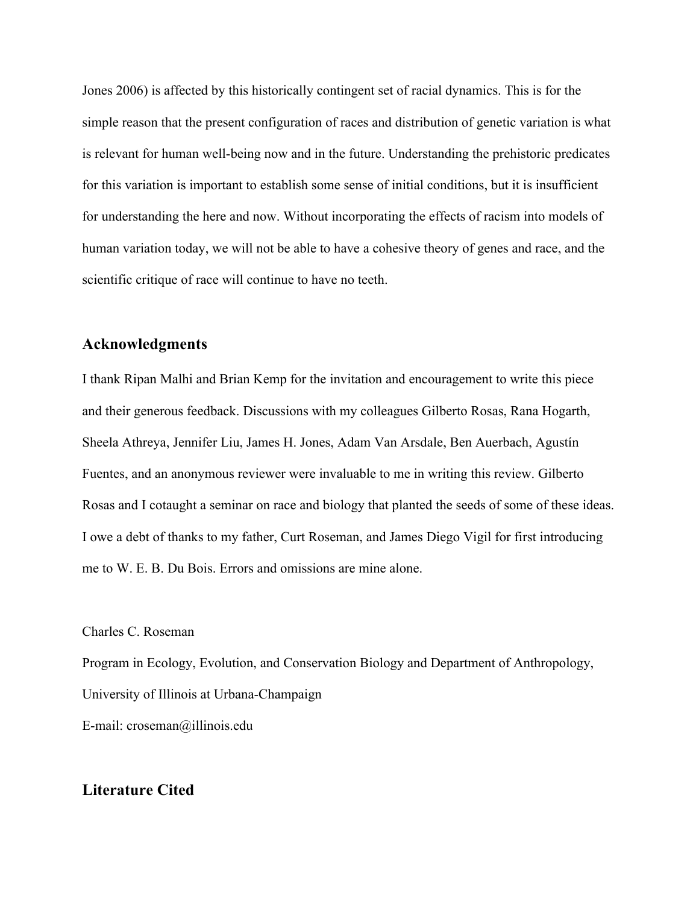Jones 2006) is affected by this historically contingent set of racial dynamics. This is for the simple reason that the present configuration of races and distribution of genetic variation is what is relevant for human well-being now and in the future. Understanding the prehistoric predicates for this variation is important to establish some sense of initial conditions, but it is insufficient for understanding the here and now. Without incorporating the effects of racism into models of human variation today, we will not be able to have a cohesive theory of genes and race, and the scientific critique of race will continue to have no teeth.

#### **Acknowledgments**

I thank Ripan Malhi and Brian Kemp for the invitation and encouragement to write this piece and their generous feedback. Discussions with my colleagues Gilberto Rosas, Rana Hogarth, Sheela Athreya, Jennifer Liu, James H. Jones, Adam Van Arsdale, Ben Auerbach, Agustín Fuentes, and an anonymous reviewer were invaluable to me in writing this review. Gilberto Rosas and I cotaught a seminar on race and biology that planted the seeds of some of these ideas. I owe a debt of thanks to my father, Curt Roseman, and James Diego Vigil for first introducing me to W. E. B. Du Bois. Errors and omissions are mine alone.

Charles C. Roseman

Program in Ecology, Evolution, and Conservation Biology and Department of Anthropology, University of Illinois at Urbana-Champaign E-mail: croseman@illinois.edu

### **Literature Cited**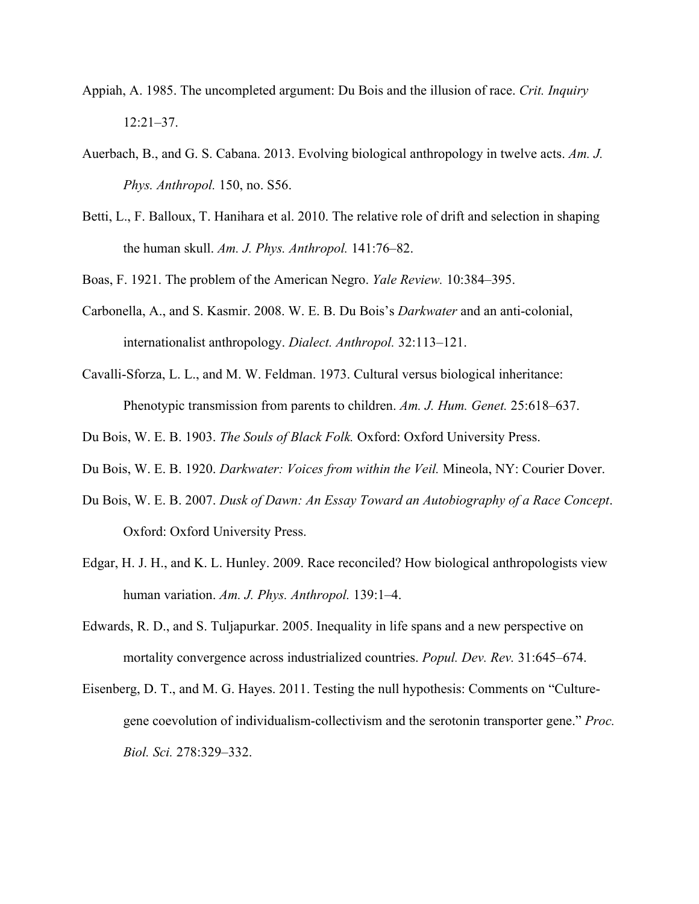- Appiah, A. 1985. The uncompleted argument: Du Bois and the illusion of race. *Crit. Inquiry* 12:21–37.
- Auerbach, B., and G. S. Cabana. 2013. Evolving biological anthropology in twelve acts. *Am. J. Phys. Anthropol.* 150, no. S56.
- Betti, L., F. Balloux, T. Hanihara et al. 2010. The relative role of drift and selection in shaping the human skull. *Am. J. Phys. Anthropol.* 141:76–82.
- Boas, F. 1921. The problem of the American Negro. *Yale Review.* 10:384–395.
- Carbonella, A., and S. Kasmir. 2008. W. E. B. Du Bois's *Darkwater* and an anti-colonial, internationalist anthropology. *Dialect. Anthropol.* 32:113–121.
- Cavalli-Sforza, L. L., and M. W. Feldman. 1973. Cultural versus biological inheritance: Phenotypic transmission from parents to children. *Am. J. Hum. Genet.* 25:618–637.
- Du Bois, W. E. B. 1903. *The Souls of Black Folk.* Oxford: Oxford University Press.
- Du Bois, W. E. B. 1920. *Darkwater: Voices from within the Veil.* Mineola, NY: Courier Dover.
- Du Bois, W. E. B. 2007. *Dusk of Dawn: An Essay Toward an Autobiography of a Race Concept*. Oxford: Oxford University Press.
- Edgar, H. J. H., and K. L. Hunley. 2009. Race reconciled? How biological anthropologists view human variation. *Am. J. Phys. Anthropol.* 139:1–4.
- Edwards, R. D., and S. Tuljapurkar. 2005. Inequality in life spans and a new perspective on mortality convergence across industrialized countries. *Popul. Dev. Rev.* 31:645–674.
- Eisenberg, D. T., and M. G. Hayes. 2011. Testing the null hypothesis: Comments on "Culturegene coevolution of individualism-collectivism and the serotonin transporter gene." *Proc. Biol. Sci.* 278:329–332.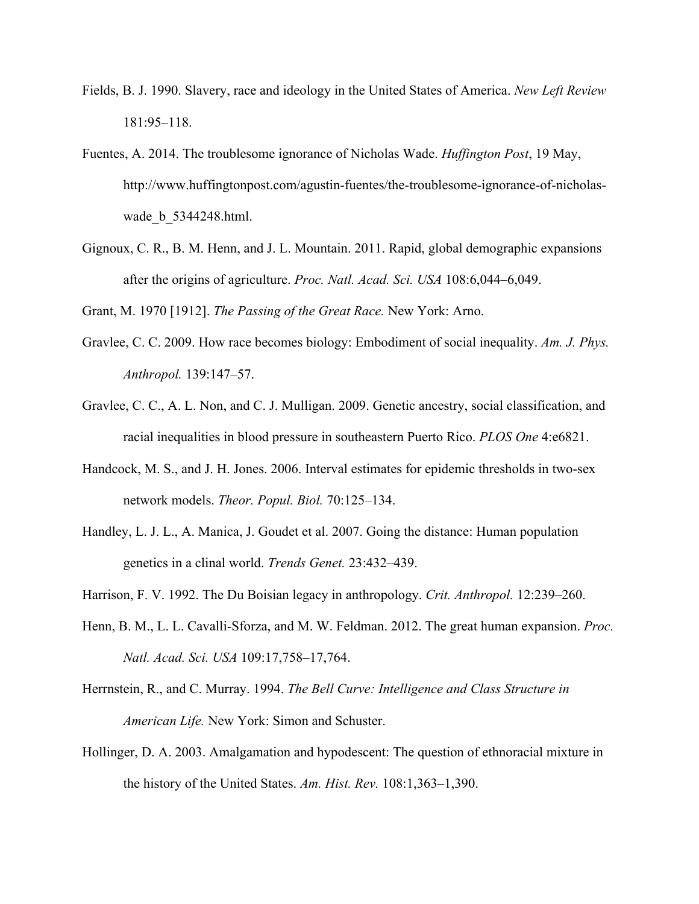- Fields, B. J. 1990. Slavery, race and ideology in the United States of America. *New Left Review* 181:95–118.
- Fuentes, A. 2014. The troublesome ignorance of Nicholas Wade. *Huffington Post*, 19 May, http://www.huffingtonpost.com/agustin-fuentes/the-troublesome-ignorance-of-nicholaswade\_b\_5344248.html.
- Gignoux, C. R., B. M. Henn, and J. L. Mountain. 2011. Rapid, global demographic expansions after the origins of agriculture. *Proc. Natl. Acad. Sci. USA* 108:6,044–6,049.

Grant, M. 1970 [1912]. *The Passing of the Great Race.* New York: Arno.

- Gravlee, C. C. 2009. How race becomes biology: Embodiment of social inequality. *Am. J. Phys. Anthropol.* 139:147–57.
- Gravlee, C. C., A. L. Non, and C. J. Mulligan. 2009. Genetic ancestry, social classification, and racial inequalities in blood pressure in southeastern Puerto Rico. *PLOS One* 4:e6821.
- Handcock, M. S., and J. H. Jones. 2006. Interval estimates for epidemic thresholds in two-sex network models. *Theor. Popul. Biol.* 70:125–134.
- Handley, L. J. L., A. Manica, J. Goudet et al. 2007. Going the distance: Human population genetics in a clinal world. *Trends Genet.* 23:432–439.
- Harrison, F. V. 1992. The Du Boisian legacy in anthropology. *Crit. Anthropol.* 12:239–260.
- Henn, B. M., L. L. Cavalli-Sforza, and M. W. Feldman. 2012. The great human expansion. *Proc. Natl. Acad. Sci. USA* 109:17,758–17,764.
- Herrnstein, R., and C. Murray. 1994. *The Bell Curve: Intelligence and Class Structure in American Life.* New York: Simon and Schuster.
- Hollinger, D. A. 2003. Amalgamation and hypodescent: The question of ethnoracial mixture in the history of the United States. *Am. Hist. Rev.* 108:1,363–1,390.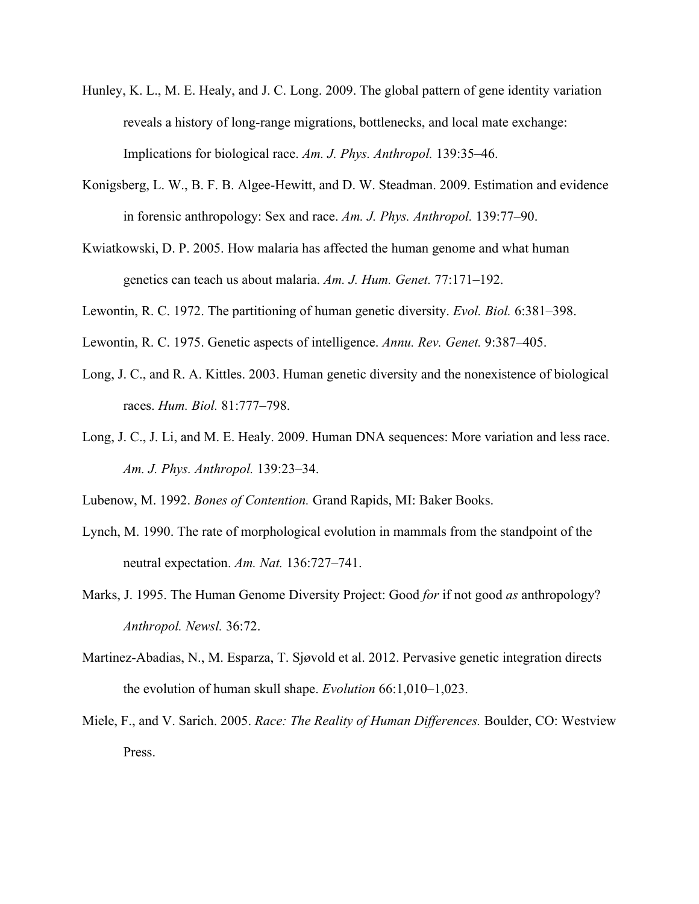- Hunley, K. L., M. E. Healy, and J. C. Long. 2009. The global pattern of gene identity variation reveals a history of long-range migrations, bottlenecks, and local mate exchange: Implications for biological race. *Am. J. Phys. Anthropol.* 139:35–46.
- Konigsberg, L. W., B. F. B. Algee-Hewitt, and D. W. Steadman. 2009. Estimation and evidence in forensic anthropology: Sex and race. *Am. J. Phys. Anthropol.* 139:77–90.
- Kwiatkowski, D. P. 2005. How malaria has affected the human genome and what human genetics can teach us about malaria. *Am. J. Hum. Genet.* 77:171–192.
- Lewontin, R. C. 1972. The partitioning of human genetic diversity. *Evol. Biol.* 6:381–398.
- Lewontin, R. C. 1975. Genetic aspects of intelligence. *Annu. Rev. Genet.* 9:387–405.
- Long, J. C., and R. A. Kittles. 2003. Human genetic diversity and the nonexistence of biological races. *Hum. Biol.* 81:777–798.
- Long, J. C., J. Li, and M. E. Healy. 2009. Human DNA sequences: More variation and less race. *Am. J. Phys. Anthropol.* 139:23–34.

Lubenow, M. 1992. *Bones of Contention.* Grand Rapids, MI: Baker Books.

- Lynch, M. 1990. The rate of morphological evolution in mammals from the standpoint of the neutral expectation. *Am. Nat.* 136:727–741.
- Marks, J. 1995. The Human Genome Diversity Project: Good *for* if not good *as* anthropology? *Anthropol. Newsl.* 36:72.
- Martinez-Abadias, N., M. Esparza, T. Sjøvold et al. 2012. Pervasive genetic integration directs the evolution of human skull shape. *Evolution* 66:1,010–1,023.
- Miele, F., and V. Sarich. 2005. *Race: The Reality of Human Differences.* Boulder, CO: Westview Press.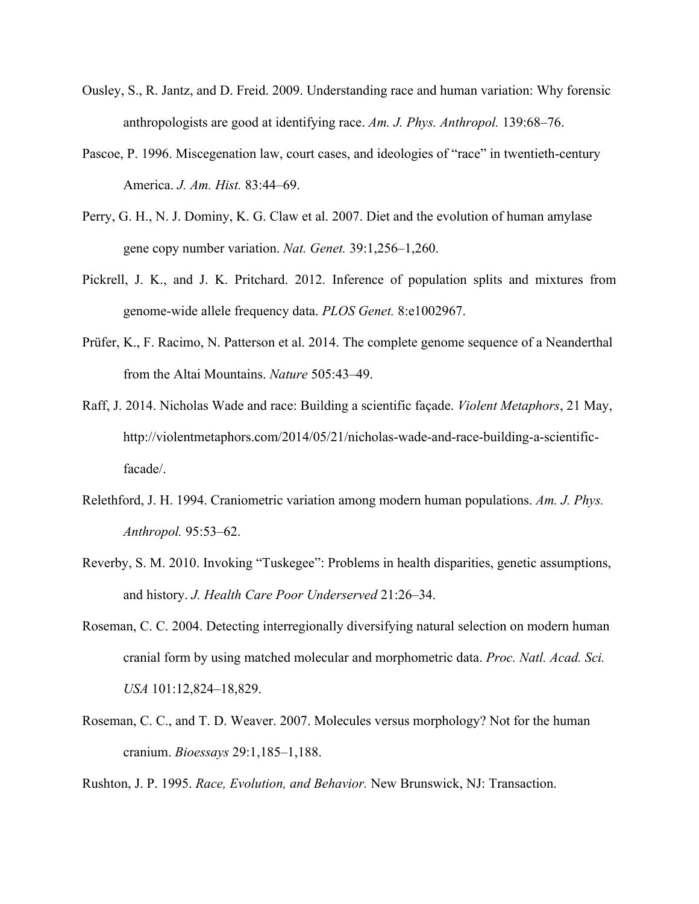- Ousley, S., R. Jantz, and D. Freid. 2009. Understanding race and human variation: Why forensic anthropologists are good at identifying race. *Am. J. Phys. Anthropol.* 139:68–76.
- Pascoe, P. 1996. Miscegenation law, court cases, and ideologies of "race" in twentieth-century America. *J. Am. Hist.* 83:44–69.
- Perry, G. H., N. J. Dominy, K. G. Claw et al. 2007. Diet and the evolution of human amylase gene copy number variation. *Nat. Genet.* 39:1,256–1,260.
- Pickrell, J. K., and J. K. Pritchard. 2012. Inference of population splits and mixtures from genome-wide allele frequency data. *PLOS Genet.* 8:e1002967.
- Prüfer, K., F. Racimo, N. Patterson et al. 2014. The complete genome sequence of a Neanderthal from the Altai Mountains. *Nature* 505:43–49.
- Raff, J. 2014. Nicholas Wade and race: Building a scientific façade. *Violent Metaphors*, 21 May, http://violentmetaphors.com/2014/05/21/nicholas-wade-and-race-building-a-scientificfacade/.
- Relethford, J. H. 1994. Craniometric variation among modern human populations. *Am. J. Phys. Anthropol.* 95:53–62.
- Reverby, S. M. 2010. Invoking "Tuskegee": Problems in health disparities, genetic assumptions, and history. *J. Health Care Poor Underserved* 21:26–34.
- Roseman, C. C. 2004. Detecting interregionally diversifying natural selection on modern human cranial form by using matched molecular and morphometric data. *Proc. Natl. Acad. Sci. USA* 101:12,824–18,829.
- Roseman, C. C., and T. D. Weaver. 2007. Molecules versus morphology? Not for the human cranium. *Bioessays* 29:1,185–1,188.

Rushton, J. P. 1995. *Race, Evolution, and Behavior.* New Brunswick, NJ: Transaction.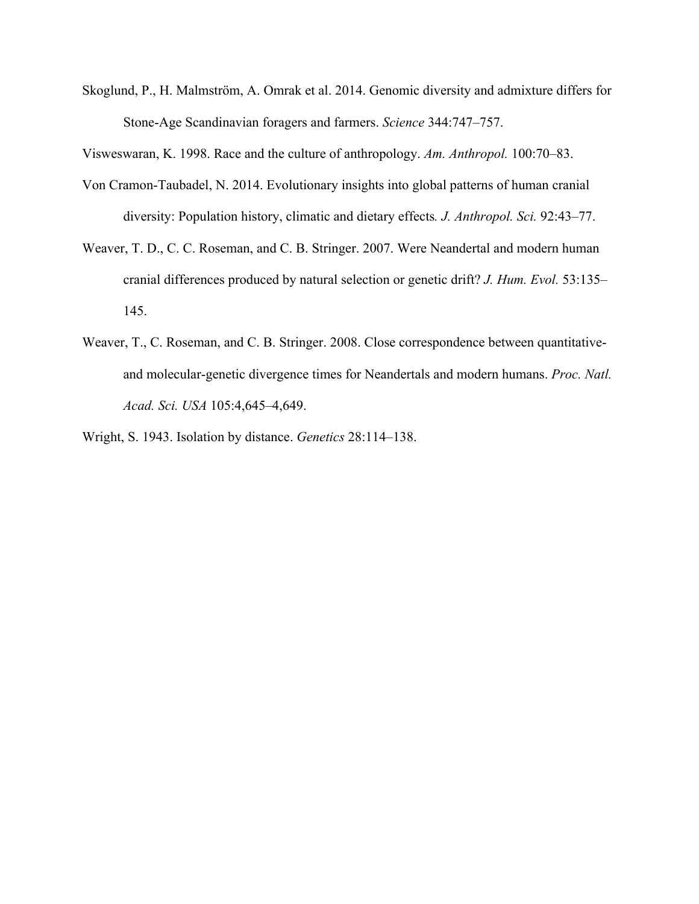Skoglund, P., H. Malmström, A. Omrak et al. 2014. Genomic diversity and admixture differs for Stone-Age Scandinavian foragers and farmers. *Science* 344:747–757.

Visweswaran, K. 1998. Race and the culture of anthropology. *Am. Anthropol.* 100:70–83.

- Von Cramon-Taubadel, N. 2014. Evolutionary insights into global patterns of human cranial diversity: Population history, climatic and dietary effects*. J. Anthropol. Sci.* 92:43–77.
- Weaver, T. D., C. C. Roseman, and C. B. Stringer. 2007. Were Neandertal and modern human cranial differences produced by natural selection or genetic drift? *J. Hum. Evol.* 53:135– 145.
- Weaver, T., C. Roseman, and C. B. Stringer. 2008. Close correspondence between quantitativeand molecular-genetic divergence times for Neandertals and modern humans. *Proc. Natl. Acad. Sci. USA* 105:4,645–4,649.
- Wright, S. 1943. Isolation by distance. *Genetics* 28:114–138.